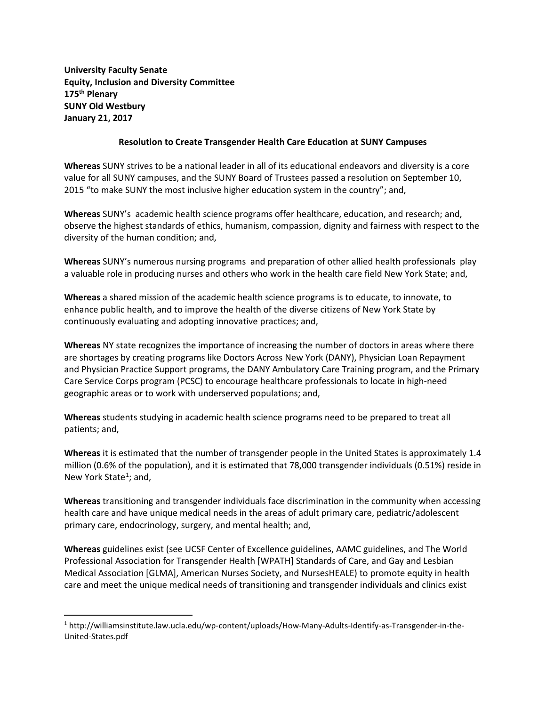**University Faculty Senate Equity, Inclusion and Diversity Committee 175th Plenary SUNY Old Westbury January 21, 2017**

 $\overline{\phantom{a}}$ 

## **Resolution to Create Transgender Health Care Education at SUNY Campuses**

**Whereas** SUNY strives to be a national leader in all of its educational endeavors and diversity is a core value for all SUNY campuses, and the SUNY Board of Trustees passed a resolution on September 10, 2015 "to make SUNY the most inclusive higher education system in the country"; and,

**Whereas** SUNY's academic health science programs offer healthcare, education, and research; and, observe the highest standards of ethics, humanism, compassion, dignity and fairness with respect to the diversity of the human condition; and,

**Whereas** SUNY's numerous nursing programs and preparation of other allied health professionals play a valuable role in producing nurses and others who work in the health care field New York State; and,

**Whereas** a shared mission of the academic health science programs is to educate, to innovate, to enhance public health, and to improve the health of the diverse citizens of New York State by continuously evaluating and adopting innovative practices; and,

**Whereas** NY state recognizes the importance of increasing the number of doctors in areas where there are shortages by creating programs like Doctors Across New York (DANY), Physician Loan Repayment and Physician Practice Support programs, the DANY Ambulatory Care Training program, and the Primary Care Service Corps program (PCSC) to encourage healthcare professionals to locate in high-need geographic areas or to work with underserved populations; and,

**Whereas** students studying in academic health science programs need to be prepared to treat all patients; and,

**Whereas** it is estimated that the number of transgender people in the United States is approximately 1.4 million (0.6% of the population), and it is estimated that 78,000 transgender individuals (0.51%) reside in New York State<sup>[1](#page-0-0)</sup>; and,

**Whereas** transitioning and transgender individuals face discrimination in the community when accessing health care and have unique medical needs in the areas of adult primary care, pediatric/adolescent primary care, endocrinology, surgery, and mental health; and,

**Whereas** guidelines exist (see UCSF Center of Excellence guidelines, AAMC guidelines, and The World Professional Association for Transgender Health [WPATH] Standards of Care, and Gay and Lesbian Medical Association [GLMA], American Nurses Society, and NursesHEALE) to promote equity in health care and meet the unique medical needs of transitioning and transgender individuals and clinics exist

<span id="page-0-0"></span><sup>1</sup> http://williamsinstitute.law.ucla.edu/wp-content/uploads/How-Many-Adults-Identify-as-Transgender-in-the-United-States.pdf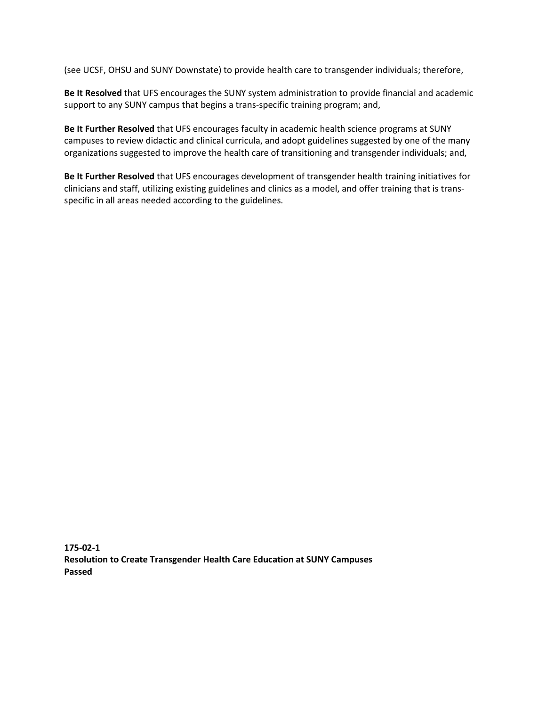(see UCSF, OHSU and SUNY Downstate) to provide health care to transgender individuals; therefore,

**Be It Resolved** that UFS encourages the SUNY system administration to provide financial and academic support to any SUNY campus that begins a trans-specific training program; and,

**Be It Further Resolved** that UFS encourages faculty in academic health science programs at SUNY campuses to review didactic and clinical curricula, and adopt guidelines suggested by one of the many organizations suggested to improve the health care of transitioning and transgender individuals; and,

**Be It Further Resolved** that UFS encourages development of transgender health training initiatives for clinicians and staff, utilizing existing guidelines and clinics as a model, and offer training that is transspecific in all areas needed according to the guidelines.

**175-02-1 Resolution to Create Transgender Health Care Education at SUNY Campuses Passed**